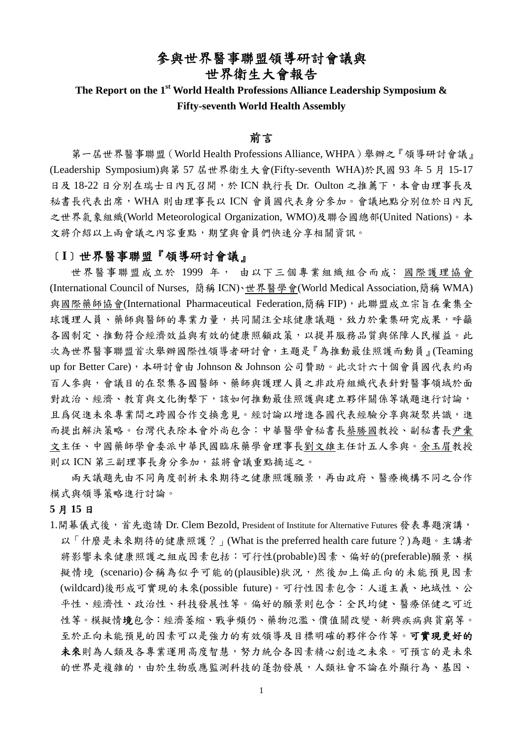## 參與世界醫事聯盟領導研討會議與 世界衛生大會報告

# The Report on the 1<sup>st</sup> World Health Professions Alliance Leadership Symposium & **Fifty-seventh World Health Assembly**

#### 前言

第一屆世界醫事聯盟(World Health Professions Alliance, WHPA)舉辦之『領導研討會議』 (Leadership Symposium)與第 57 屆世界衛生大會(Fifty-seventh WHA)於民國 93 年 5 月 15-17 日及 18-22 日分別在瑞士日內瓦召開,於 ICN 執行長 Dr. Oulton 之推薦下,本會由理事長及 秘書長代表出席,WHA 則由理事長以 ICN 會員國代表身分參加。會議地點分別位於日內瓦 之世界氣象組織(World Meteorological Organization, WMO)及聯合國總部(United Nations)。本 文將介紹以上兩會議之內容重點,期望與會員們快速分享相關資訊。

#### ﹝**I**﹞世界醫事聯盟『領導研討會議』

世界醫事聯盟成立於 1999 年, 由以下三個專業組織組合而成: 國際護理協會 (International Council of Nurses, 簡稱 ICN)、世界醫學會(World Medical Association,簡稱 WMA) 與國際藥師協會(International Pharmaceutical Federation,簡稱 FIP),此聯盟成立宗旨在彙集全 球護理人員、藥師與醫師的專業力量,共同關注全球健康議題,致力於彙集研究成果,呼籲 各國制定、推動符合經濟效益與有效的健康照顧政策,以提昇服務品質與保障人民權益。此 次為世界醫事聯盟首次舉辦國際性領導者研討會,主題是『為推動最佳照護而動員』(Teaming up for Better Care),本研討會由 Johnson & Johnson 公司贊助。此次計六十個會員國代表約兩 百人參與,會議目的在聚集各國醫師、藥師與護理人員之非政府組織代表針對醫事領域於面 對政治、經濟、教育與文化衝擊下,該如何推動最佳照護與建立夥伴關係等議題進行討論, 且爲促進未來專業間之跨國合作交換意見。經討論以增進各國代表經驗分享與凝聚共識,進 而提出解決策略。台灣代表除本會外尚包含:中華醫學會秘書長蔡勝國教授、副秘書長尹彙 文主任、中國藥師學會委派中華民國臨床藥學會理事長劉文雄主任計五人參與。余玉眉教授 則以 ICN 第三副理事長身分參加,茲將會議重點摘述之。

兩天議題先由不同角度剖析未來期待之健康照護願景,再由政府、醫療機構不同之合作 模式與領導策略進行討論。

#### **5** 月 **15** 日

1.開幕儀式後,首先邀請 Dr. Clem Bezold, President of Institute for Alternative Futures 發表專題演講, 以「什麼是未來期待的健康照護?」(What is the preferred health care future?)為題。主講者 將影響未來健康照護之組成因素包括:可行性(probable)因素、偏好的(preferable)願景、模 擬情境 (scenario)合稱為似乎可能的(plausible)狀況,然後加上偏正向的未能預見因素 (wildcard)後形成可實現的未來(possible future)。可行性因素包含:人道主義、地域性、公 平性、經濟性、政治性、科技發展性等。偏好的願景則包含:全民均健、醫療保健之可近 性等。模擬情境包含:經濟萎縮、戰爭頻仍、藥物氾濫、價值關改變、新興疾病與貧窮等。 至於正向未能預見的因素可以是強力的有效領導及目標明確的夥伴合作等。可實現更好的 未來則為人類及各專業運用高度智慧,努力統合各因素精心創造之未來。可預言的是未來 的世界是複雜的,由於生物感應監測科技的蓬勃發展,人類社會不論在外顯行為、基因、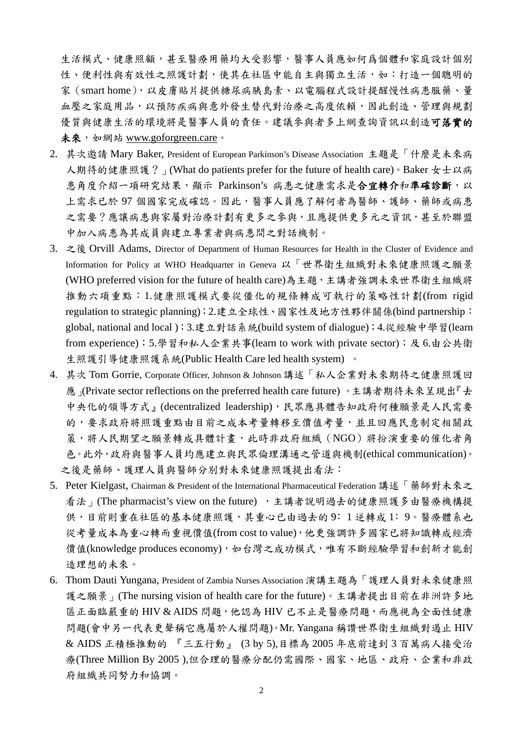生活模式、健康照顧,甚至醫療用藥均大受影響,醫事人員應如何爲個體和家庭設計個別 性、便利性與有效性之照護計劃,使其在社區中能自主與獨立生活,如:打造一個聰明的 家(smart home),以皮膚貼片提供糖尿病胰島素、以電腦程式設計提醒慢性病患服藥、量 血壓之家庭用品,以預防疾病與意外發生替代對治療之高度依賴,因此創造、管理與規劃 優質與健康生活的環境將是醫事人員的責任。建議參與者多上網查詢資訊以創造可落實的 未來, 如網站 www.goforgreen.care。

- 2. 其次邀請 Mary Baker, President of European Parkinson's Disease Association 主題是「什麼是未來病 人期待的健康照護?」(What do patients prefer for the future of health care)。Baker 女士以病 患角度介紹一項研究結果,顯示 Parkinson's 病患之健康需求是合宜轉介和準確診斷,以 上需求已於 97 個國家完成確認。因此,醫事人員應了解何者為醫師、護師、藥師或病患 之需要?應讓病患與家屬對治療計劃有更多之參與,且應提供更多元之資訊,甚至於聯盟 中加入病患為其成員與建立專業者與病患間之對話機制。
- 3. 之後 Orvill Adams, Director of Department of Human Resources for Health in the Cluster of Evidence and Information for Policy at WHO Headquarter in Geneva 以「世界衛生組織對未來健康照護之願景 (WHO preferred vision for the future of health care)為主題,主講者強調未來世界衛生組織將 推動六項重點:1.健康照護模式要從僵化的規條轉成可執行的策略性計劃(from rigid regulation to strategic planning);2.建立全球性、國家性及地方性夥伴關係(bind partnership: global, national and local );3.建立對話系統(build system of dialogue);4.從經驗中學習(learn from experience);5.學習和私人企業共事(learn to work with private sector);及 6.由公共衛 生照護引導健康照護系統(Public Health Care led health system) 。
- 4. 其次 Tom Gorrie, Corporate Officer, Johnson & Johnson 講述「私人企業對未來期待之健康照護回 應 (Private sector reflections on the preferred health care future)。主講者期待未來呈現出『去 中央化的領導方式』(decentralized leadership),民眾應具體告知政府何種願景是人民需要 的,要求政府將照護重點由目前之成本考量轉移至價值考量,並且回應民意制定相關政 策,將人民期望之願景轉成具體計畫,此時非政府組織(NGO)將扮演重要的催化者角 色。此外,政府與醫事人員均應建立與民眾倫理溝通之管道與機制(ethical communication)。 之後是藥師、護理人員與醫師分別對未來健康照護提出看法:
- 5. Peter Kielgast, Chairman & President of the International Pharmaceutical Federation 講述「藥師對未來之 看法」(The pharmacist's view on the future), 主講者說明過去的健康照護多由醫療機構提 供,目前則重在社區的基本健康照護,其重心已由過去的9:1逆轉成1:9。醫療體系也 從考量成本為重心轉而重視價值(from cost to value),他更強調許多國家已將知識轉成經濟 價值(knowledge produces economy),如台灣之成功模式,唯有不斷經驗學習和創新才能創 造理想的未來。
- 6. Thom Dauti Yungana, President of Zambia Nurses Association 演講主題為「護理人員對未來健康照 護之願景」(The nursing vision of health care for the future)。主講者提出目前在非洲許多地 區正面臨嚴重的 HIV & AIDS 問題,他認為 HIV 已不止是醫療問題,而應視為全面性健康 問題(會中另一代表更聲稱它應屬於人權問題)。Mr. Yangana 稱讚世界衛生組織對遏止 HIV & AIDS 正積極推動的 『三五行動』 (3 by 5),目標為 2005 年底前達到 3 百萬病人接受治 療(Three Million By 2005 ),但合理的醫療分配仍需國際、國家、地區、政府、企業和非政 府組織共同努力和協調。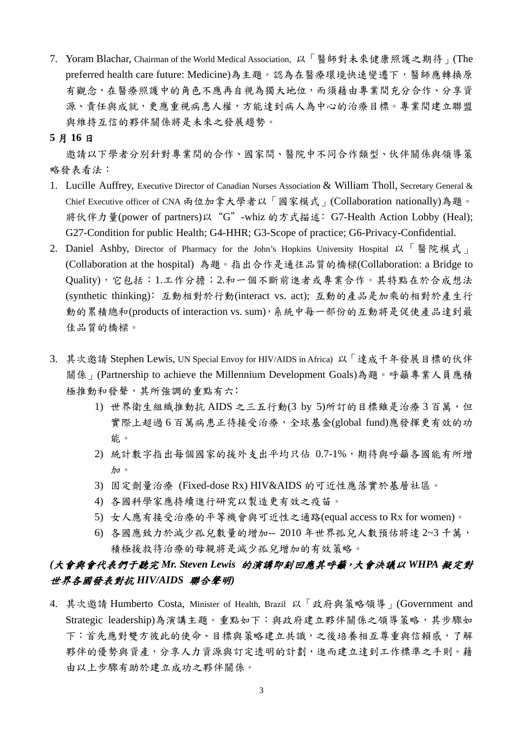7. Yoram Blachar, Chairman of the World Medical Association, 以「醫師對未來健康照護之期待」(The preferred health care future: Medicine)為主題。認為在醫療環境快速變遷下,醫師應轉換原 有觀念,在醫療照護中的角色不應再自視為獨大地位,而須藉由專業間充分合作、分享資 源、責任與成就,更應重視病人權,方能達到病人為中心的治療目標。專業間建立聯盟 與維持互信的夥伴關係將是未來之發展趨勢。

#### **5** 月 **16** 日

邀請以下學者分別針對專業間的合作、國家間、醫院中不同合作類型、伙伴關係與領導策 略發表看法:

- 1. Lucille Auffrey, Executive Director of Canadian Nurses Association & William Tholl, Secretary General & Chief Executive officer of CNA 兩位加拿大學者以「國家模式」(Collaboration nationally)為題。 將伙伴力量(power of partners)以"G"-whiz 的方式描述﹕G7-Health Action Lobby (Heal); G27-Condition for public Health; G4-HHR; G3-Scope of practice; G6-Privacy-Confidential.
- 2. Daniel Ashby, Director of Pharmacy for the John's Hopkins University Hospital 以「醫院模式」 (Collaboration at the hospital) 為題。指出合作是通往品質的橋樑(Collaboration: a Bridge to Quality),它包括:1.工作分擔;2.和一個不斷前進者或專業合作。其特點在於合成想法 (synthetic thinking)﹕互動相對於行動(interact vs. act); 互動的產品是加乘的相對於產生行 動的累積總和(products of interaction vs. sum),系統中每一部份的互動將是促使產品達到最 佳品質的橋樑。
- 3. 其次邀請 Stephen Lewis, UN Special Envoy for HIV/AIDS in Africa) 以「達成千年發展目標的伙伴 關係」(Partnership to achieve the Millennium Development Goals)為題。呼籲專業人員應積 極推動和發聲,其所強調的重點有六:
	- 1) 世界衛生組織推動抗 AIDS 之三五行動(3 by 5)所訂的目標雖是治療3百萬,但 實際上超過 6 百萬病患正待接受治療,全球基金(global fund)應發揮更有效的功 能。
	- 2) 統計數字指出每個國家的援外支出平均只佔 0.7-1%,期待與呼籲各國能有所增 加。
	- 3) 固定劑量治療 (Fixed-dose Rx) HIV&AIDS 的可近性應落實於基層社區。
	- 4) 各國科學家應持續進行研究以製造更有效之疫苗。
	- 5) 女人應有接受治療的平等機會與可近性之通路(equal access to Rx for women)。
	- 6) 各國應致力於減少孤兒數量的增加-- 2010 年世界孤兒人數預估將達 2~3 千萬, 積極援救待治療的母親將是減少孤兒增加的有效策略。

### *(*大會與會代表們于聽完 *Mr. Steven Lewis* 的演講即刻回應其呼籲,大會決議以 *WHPA* 擬定對 世界各國發表對抗 *HIV/AIDS* 聯合聲明*)*

4. 其次邀請 Humberto Costa, Minister of Health, Brazil 以「政府與策略領導」(Government and Strategic leadership)為演講主題。重點如下:與政府建立夥伴關係之領導策略,其步驟如 下:首先應對雙方彼此的使命、目標與策略建立共識,之後培養相互尊重與信賴感,了解 夥伴的優勢與資產,分享人力資源與訂定透明的計劃,進而建立達到工作標準之手則。藉 由以上步驟有助於建立成功之夥伴關係。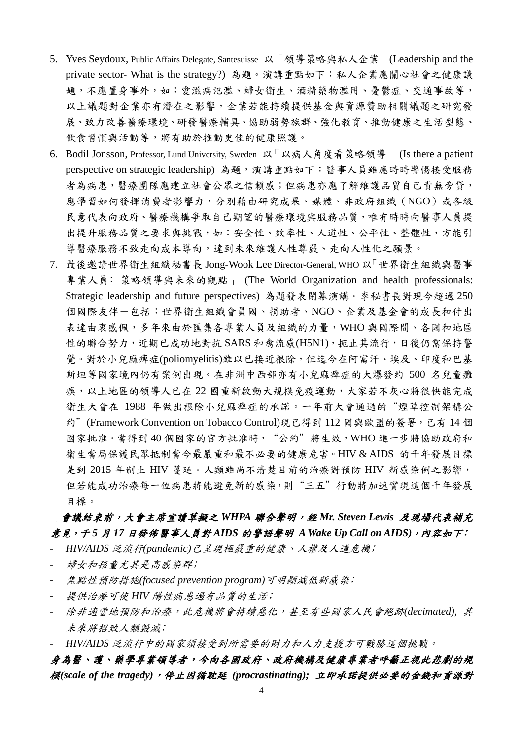- 5. Yves Seydoux, Public Affairs Delegate, Santesuisse 以「領導策略與私人企業」(Leadership and the private sector- What is the strategy?) 為題。演講重點如下:私人企業應關心社會之健康議 題,不應置身事外,如:愛滋病氾濫、婦女衛生、酒精藥物濫用、憂鬱症、交通事故等, 以上議題對企業亦有潛在之影響,企業若能持續提供基金與資源贊助相關議題之研究發 展、致力改善醫療環境、研發醫療輔具、協助弱勢族群、強化教育、推動健康之生活型態、 飲食習慣與活動等,將有助於推動更佳的健康照護。
- 6. Bodil Jonsson, Professor, Lund University, Sweden 以「以病人角度看策略領導」 (Is there a patient perspective on strategic leadership)為題,演講重點如下:醫事人員雖應時時警惕接受服務 者為病患,醫療團隊應建立社會公眾之信賴感;但病患亦應了解維護品質自己責無旁貸, 應學習如何發揮消費者影響力,分別藉由研究成果、媒體、非政府組織(NGO)或各級 民意代表向政府、醫療機構爭取自己期望的醫療環境與服務品質,唯有時時向醫事人員提 出提升服務品質之要求與挑戰,如:安全性、效率性、人道性、公平性、整體性,方能引 導醫療服務不致走向成本導向,達到未來維護人性尊嚴、走向人性化之願景。
- 7. 最後邀請世界衛生組織秘書長 Jong-Wook Lee Director-General, WHO 以「世界衛生組織與醫事 專業人員: 策略領導與未來的觀點」 (The World Organization and health professionals: Strategic leadership and future perspectives) 為題發表閉幕演講。李秘書長對現今超過 250 個國際友伴-包括:世界衛生組織會員國、捐助者、NGO、企業及基金會的成長和付出 表達由衷感佩,多年來由於匯集各專業人員及組織的力量,WHO 與國際間、各國和地區 性的聯合努力,近期已成功地對抗 SARS 和禽流感(H5N1), 扼止其流行, 日後仍需保持警 覺。對於小兒麻痺症(poliomyelitis)雖以已接近根除,但迄今在阿富汗、埃及、印度和巴基 斯坦等國家境內仍有案例出現。在非洲中西部亦有小兒麻痺症的大爆發約 500 名兒童癱 瘓,以上地區的領導人已在 22 國重新啟動大規模免疫運動,大家若不灰心將很快能完成 衛生大會在 1988 年做出根除小兒麻痺症的承諾。一年前大會通過的"煙草控制架構公 約"(Framework Convention on Tobacco Control)現已得到 112 國與歐盟的簽署,已有 14 個 國家批准。當得到40個國家的官方批准時, "公約"將生效, WHO 進一步將協助政府和 衛生當局保護民眾抵制當今最嚴重和最不必要的健康危害。HIV & AIDS 的千年發展目標 是到 2015 年制止 HIV 蔓延。人類雖尚不清楚目前的治療對預防 HIV 新感染例之影響, 但若能成功治療每一位病患將能避免新的感染,則"三五"行動將加速實現這個千年發展 目標。

## 會議結束前,大會主席宣讀草擬之 *WHPA* 聯合聲明,經 *Mr. Steven Lewis* 及現場代表補充 意見,于 *5* 月 *17* 日發佈醫事人員對 *AIDS* 的警語聲明 *A Wake Up Call on AIDS)*,內容如下﹕

- *HIV/AIDS* 泛流行*(pandemic)*已呈現極嚴重的健康、人權及人道危機﹔
- 婦女和孩童尤其是高感染群;
- 焦點性預防措施*(focused prevention program)*可明顯減低新感染﹔
- 提供治療可使 *HIV* 陽性病患過有品質的生活﹔
- 除非適當地預防和治療,此危機將會持續惡化,甚至有些國家人民會絕跡*(decimated),* 其 未來將招致人類毀滅﹔
- *HIV/AIDS* 泛流行中的國家須接受到所需要的財力和人力支援方可戰勝這個挑戰。

## 身為醫、護、藥學專業領導者,今向各國政府、政府機構及健康專業者呼籲正視此悲劇的規 模*(scale of the tragedy)*,停止因循耽延 *(procrastinating);* 立即承諾提供必要的金錢和資源對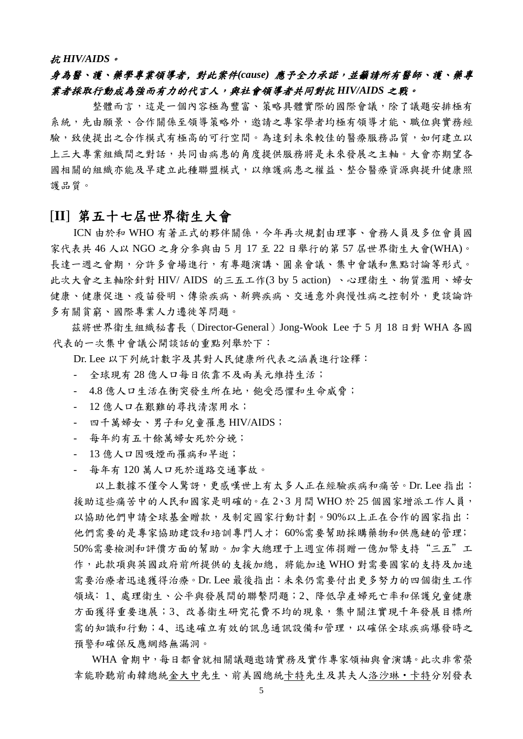#### 抗 *HIV/AIDS*。

## 身為醫、護、藥學專業領導者﹐對此案件*(cause)* 應予全力承諾,並籲請所有醫師、護、藥專 業者採取行動成為強而有力的代言人,與社會領導者共同對抗 *HIV/AIDS* 之戰。

整體而言,這是一個內容極為豐富、策略具體實際的國際會議,除了議題安排極有 系統,先由願景、合作關係至領導策略外,邀請之專家學者均極有領導才能、職位與實務經 驗,致使提出之合作模式有極高的可行空間。為達到未來較佳的醫療服務品質,如何建立以 上三大專業組織間之對話,共同由病患的角度提供服務將是未來發展之主軸。大會亦期望各 國相關的組織亦能及早建立此種聯盟模式,以維護病患之權益、整合醫療資源與提升健康照 護品質。

# [**II**] 第五十七屆世界衛生大會

ICN 由於和 WHO 有著正式的夥伴關係,今年再次規劃由理事、會務人員及多位會員國 家代表共 46 人以 NGO 之身分參與由 5 月 17 至 22 日舉行的第 57 屆世界衛生大會(WHA)。 長達一週之會期,分許多會場進行,有專題演講、圓桌會議、集中會議和焦點討論等形式。 此次大會之主軸除針對 HIV/ AIDS 的三五工作(3 by 5 action) 、心理衛生、物質濫用、婦女 健康、健康促進、疫苗發明、傳染疾病、新興疾病、交通意外與慢性病之控制外,更談論許 多有關貧窮、國際專業人力遷徙等問題。

茲將世界衛生組織秘書長(Director-General)Jong-Wook Lee 于 5 月 18 日對 WHA 各國 代表的一次集中會議公開談話的重點列舉於下:

Dr. Lee 以下列統計數字及其對人民健康所代表之涵義進行詮釋:

- 全球現有 28 億人口每日依靠不及兩美元維持生活;
- 4.8 億人口生活在衝突發生所在地,飽受恐懼和生命威脅;
- 12 億人口在艱難的尋找清潔用水;
- 四千萬婦女、男子和兒童罹患 HIV/AIDS;
- 每年約有五十餘萬婦女死於分娩;
- 13 億人口因吸煙而罹病和早逝;
- 每年有 120 萬人口死於道路交通事故。

以上數據不僅令人驚訝,更感嘆世上有太多人正在經驗疾病和痛苦。Dr. Lee 指出: 援助這些痛苦中的人民和國家是明確的。在 2、3 月間 WHO 於 25 個國家增派工作人員, 以協助他們申請全球基金贈款,及制定國家行動計劃。90%以上正在合作的國家指出: 他們需要的是專家協助建設和培訓專門人才;60%需要幫助採購藥物和供應鏈的管理; 50%需要檢測和評價方面的幫助。加拿大總理于上週宣佈捐贈一億加幣支持"三五"工 作,此款項與英國政府前所提供的支援加總,將能加速 WHO 對需要國家的支持及加速 需要治療者迅速獲得治療。Dr. Lee 最後指出:未來仍需要付出更多努力的四個衛生工作 領域: 1、處理衛生、公平與發展間的聯繫問題;2、降低孕產婦死亡率和保護兒童健康 方面獲得重要進展;3、改善衛生研究花費不均的現象,集中關注實現千年發展目標所 需的知識和行動;4、迅速確立有效的訊息通訊設備和管理,以確保全球疾病爆發時之 預警和確保反應網絡無漏洞。

WHA 會期中,每日都會就相關議題邀請實務及實作專家領袖與會演講。此次非常榮 幸能聆聽前南韓總統金大中先生、前美國總統卡特先生及其夫人洛沙琳‧卡特分別發表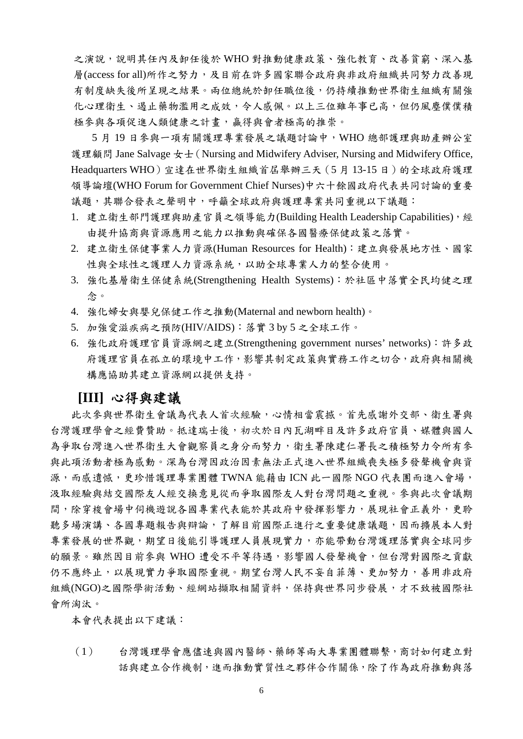之演說,說明其任內及卸任後於 WHO 對推動健康政策、強化教育、改善貧窮、深入基 層(access for all)所作之努力,及目前在許多國家聯合政府與非政府組織共同努力改善現 有制度缺失後所呈現之結果。兩位總統於卸任職位後,仍持續推動世界衛生組織有關強 化心理衛生、遏止藥物濫用之成效,令人感佩。以上三位雖年事已高,但仍風塵僕僕積 極參與各項促進人類健康之計畫,贏得與會者極高的推崇。

5 月 19 日參與一項有關護理專業發展之議題討論中,WHO 總部護理與助產辦公室 護理顧問 Jane Salvage  $\pm\pm$  (Nursing and Midwifery Adviser, Nursing and Midwifery Office, Headquarters WHO)宣達在世界衛生組織首屆舉辦三天(5 月 13-15 日)的全球政府護理 領導論壇(WHO Forum for Government Chief Nurses)中六十餘國政府代表共同討論的重要 議題,其聯合發表之聲明中,呼籲全球政府與護理專業共同重視以下議題:

- 1. 建立衛生部門護理與助產官員之領導能力(Building Health Leadership Capabilities),經 由提升協商與資源應用之能力以推動與確保各國醫療保健政策之落實。
- 2. 建立衛生保健事業人力資源(Human Resources for Health):建立與發展地方性、國家 性與全球性之護理人力資源系統,以助全球專業人力的整合使用。
- 3. 強化基層衛生保健系統(Strengthening Health Systems):於社區中落實全民均健之理 念。
- 4. 強化婦女與嬰兒保健工作之推動(Maternal and newborn health)。
- 5. 加強愛滋疾病之預防(HIV/AIDS):落實 3 by 5 之全球工作。
- 6. 強化政府護理官員資源網之建立(Strengthening government nurses' networks):許多政 府護理官員在孤立的環境中工作,影響其制定政策與實務工作之切合,政府與相關機 構應協助其建立資源網以提供支持。

#### **[III]** 心得與建議

此次參與世界衛生會議為代表人首次經驗,心情相當震撼。首先感謝外交部、衛生署與 台灣護理學會之經費贊助。抵達瑞士後,初次於日內瓦湖畔目及許多政府官員、媒體與國人 為爭取台灣進入世界衛生大會觀察員之身分而努力,衛生署陳建仁署長之積極努力令所有參 與此項活動者極為感動。深為台灣因政治因素無法正式進入世界組織喪失極多發聲機會與資 源,而感遺憾,更珍惜護理專業團體 TWNA 能藉由 ICN 此一國際 NGO 代表團而進入會場, 汲取經驗與結交國際友人經交換意見從而爭取國際友人對台灣問題之重視。參與此次會議期 間,除穿梭會場中伺機遊說各國專業代表能於其政府中發揮影響力,展現社會正義外,更聆 聽多場演講、各國專題報告與辯論,了解目前國際正進行之重要健康議題,因而擴展本人對 專業發展的世界觀,期望日後能引導護理人員展現實力,亦能帶動台灣護理落實與全球同步 的願景。雖然因目前參與 WHO 遭受不平等待遇,影響國人發聲機會,但台灣對國際之貢獻 仍不應終止,以展現實力爭取國際重視。期望台灣人民不妄自菲薄、更加努力,善用非政府 組織(NGO)之國際學術活動、經網站擷取相關資料,保持與世界同步發展,才不致被國際社 會所淘汰。

本會代表提出以下建議:

(1) 台灣護理學會應儘速與國內醫師、藥師等兩大專業團體聯繫,商討如何建立對 話與建立合作機制,進而推動實質性之夥伴合作關係,除了作為政府推動與落